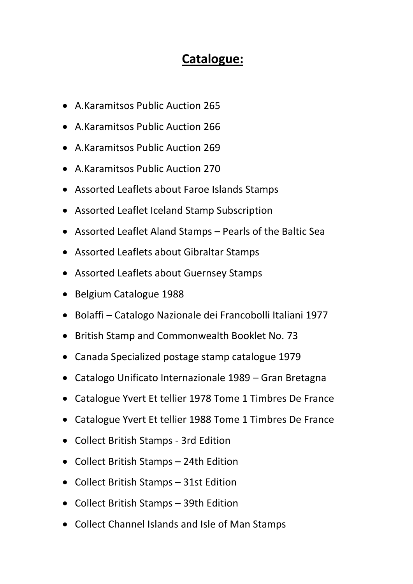## **Catalogue:**

- A.Karamitsos Public Auction 265
- A.Karamitsos Public Auction 266
- A.Karamitsos Public Auction 269
- A.Karamitsos Public Auction 270
- Assorted Leaflets about Faroe Islands Stamps
- Assorted Leaflet Iceland Stamp Subscription
- Assorted Leaflet Aland Stamps Pearls of the Baltic Sea
- Assorted Leaflets about Gibraltar Stamps
- Assorted Leaflets about Guernsey Stamps
- Belgium Catalogue 1988
- Bolaffi Catalogo Nazionale dei Francobolli Italiani 1977
- British Stamp and Commonwealth Booklet No. 73
- Canada Specialized postage stamp catalogue 1979
- Catalogo Unificato Internazionale 1989 Gran Bretagna
- Catalogue Yvert Et tellier 1978 Tome 1 Timbres De France
- Catalogue Yvert Et tellier 1988 Tome 1 Timbres De France
- Collect British Stamps 3rd Edition
- Collect British Stamps 24th Edition
- Collect British Stamps 31st Edition
- Collect British Stamps 39th Edition
- Collect Channel Islands and Isle of Man Stamps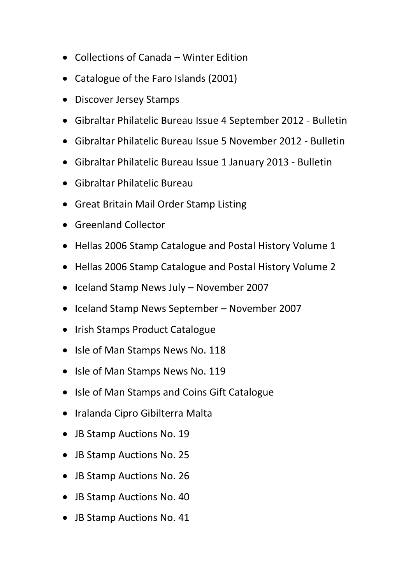- Collections of Canada Winter Edition
- Catalogue of the Faro Islands (2001)
- Discover Jersey Stamps
- Gibraltar Philatelic Bureau Issue 4 September 2012 Bulletin
- Gibraltar Philatelic Bureau Issue 5 November 2012 Bulletin
- Gibraltar Philatelic Bureau Issue 1 January 2013 Bulletin
- Gibraltar Philatelic Bureau
- Great Britain Mail Order Stamp Listing
- Greenland Collector
- Hellas 2006 Stamp Catalogue and Postal History Volume 1
- Hellas 2006 Stamp Catalogue and Postal History Volume 2
- Iceland Stamp News July November 2007
- Iceland Stamp News September November 2007
- Irish Stamps Product Catalogue
- Isle of Man Stamps News No. 118
- Isle of Man Stamps News No. 119
- Isle of Man Stamps and Coins Gift Catalogue
- Iralanda Cipro Gibilterra Malta
- JB Stamp Auctions No. 19
- JB Stamp Auctions No. 25
- JB Stamp Auctions No. 26
- JB Stamp Auctions No. 40
- JB Stamp Auctions No. 41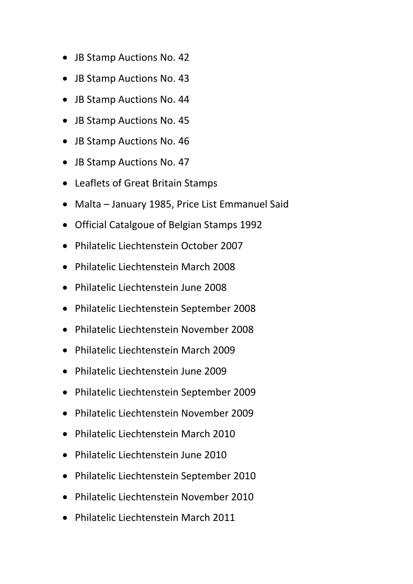- JB Stamp Auctions No. 42
- JB Stamp Auctions No. 43
- JB Stamp Auctions No. 44
- JB Stamp Auctions No. 45
- JB Stamp Auctions No. 46
- JB Stamp Auctions No. 47
- Leaflets of Great Britain Stamps
- Malta January 1985, Price List Emmanuel Said
- Official Catalgoue of Belgian Stamps 1992
- Philatelic Liechtenstein October 2007
- Philatelic Liechtenstein March 2008
- Philatelic Liechtenstein June 2008
- Philatelic Liechtenstein September 2008
- Philatelic Liechtenstein November 2008
- Philatelic Liechtenstein March 2009
- Philatelic Liechtenstein June 2009
- Philatelic Liechtenstein September 2009
- Philatelic Liechtenstein November 2009
- Philatelic Liechtenstein March 2010
- Philatelic Liechtenstein June 2010
- Philatelic Liechtenstein September 2010
- Philatelic Liechtenstein November 2010
- Philatelic Liechtenstein March 2011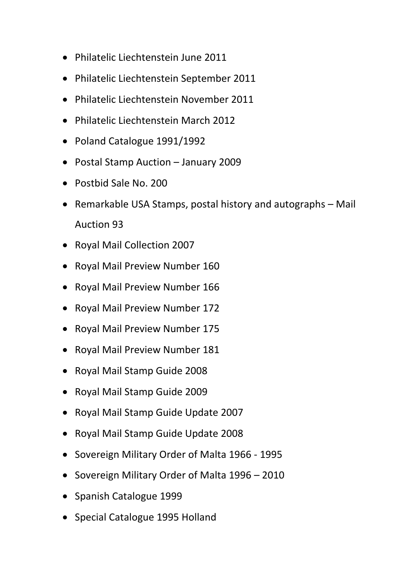- Philatelic Liechtenstein June 2011
- Philatelic Liechtenstein September 2011
- Philatelic Liechtenstein November 2011
- Philatelic Liechtenstein March 2012
- Poland Catalogue 1991/1992
- Postal Stamp Auction January 2009
- Postbid Sale No. 200
- Remarkable USA Stamps, postal history and autographs Mail Auction 93
- Royal Mail Collection 2007
- Royal Mail Preview Number 160
- Royal Mail Preview Number 166
- Royal Mail Preview Number 172
- Royal Mail Preview Number 175
- Royal Mail Preview Number 181
- Royal Mail Stamp Guide 2008
- Royal Mail Stamp Guide 2009
- Royal Mail Stamp Guide Update 2007
- Royal Mail Stamp Guide Update 2008
- Sovereign Military Order of Malta 1966 1995
- Sovereign Military Order of Malta 1996 2010
- Spanish Catalogue 1999
- Special Catalogue 1995 Holland